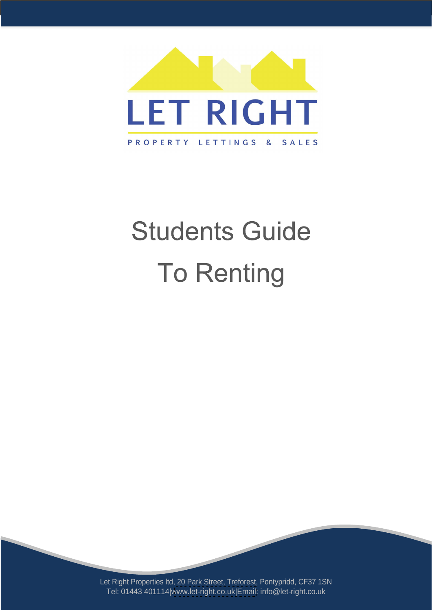

# **Students Guide To Renting**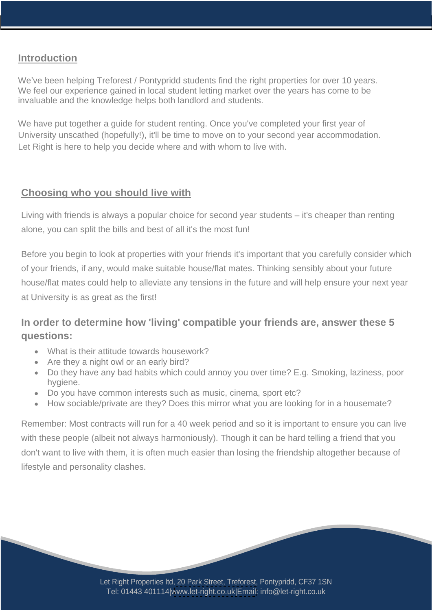## **Introduction**

We've been helping Treforest / Pontypridd students find the right properties for over 10 years. We feel our experience gained in local student letting market over the years has come to be invaluable and the knowledge helps both landlord and students.

We have put together a guide for student renting. Once you've completed your first year of University unscathed (hopefully!), it'll be time to move on to your second year accommodation. Let Right is here to help you decide where and with whom to live with.

# **Choosing who you should live with**

Living with friends is always a popular choice for second year students  $-$  it's cheaper than renting alone, you can split the bills and best of all it's the most fun!

Before you begin to look at properties with your friends it's important that you carefully consider which of your friends, if any, would make suitable house/flat mates. Thinking sensibly about your future house/flat mates could help to alleviate any tensions in the future and will help ensure your next year at University is as great as the first!

# **In order to determine how 'living' compatible your friends are, answer these 5 questions:**

- What is their attitude towards housework?
- Are they a night owl or an early bird?
- Do they have any bad habits which could annoy you over time? E.g. Smoking, laziness, poor hygiene.
- Do you have common interests such as music, cinema, sport etc?
- How sociable/private are they? Does this mirror what you are looking for in a housemate?

Remember: Most contracts will run for a 40 week period and so it is important to ensure you can live with these people (albeit not always harmoniously). Though it can be hard telling a friend that you don't want to live with them, it is often much easier than losing the friendship altogether because of lifestyle and personality clashes.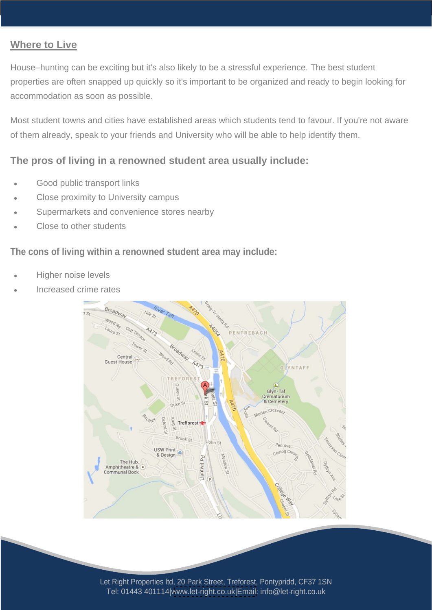## **Where to Live**

House-hunting can be exciting but it's also likely to be a stressful experience. The best student properties are often snapped up quickly so it's important to be organized and ready to begin looking for accommodation as soon as possible.

Most student towns and cities have established areas which students tend to favour. If you're not aware of them already, speak to your friends and University who will be able to help identify them.

### **The pros of living in a renowned student area usually include:**

- Good public transport links
- Close proximity to University campus
- Supermarkets and convenience stores nearby
- Close to other students and the students of the students of the students of the students of the students of the students of the students of the students of the students of the students of the students of the students of th

#### **The cons of living within a renowned student area may include:**

- Higher noise levels
- Increased crime rates

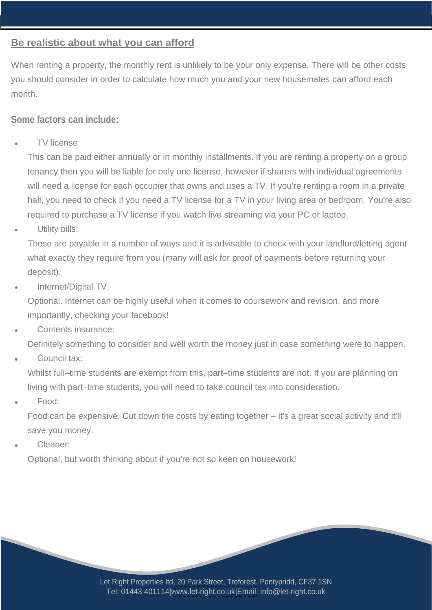## **Be realistic about what you can afford**

When renting a property, the monthly rent is unlikely to be your only expense. There will be other costs you should consider in order to calculate how much you and your new housemates can afford each month.

#### **Some factors can include:**

TV license:

This can be paid either annually or in monthly installments. If you are renting a property on a group tenancy then you will be liable for only one license, however if sharers with individual agreements will need a license for each occupier that owns and uses a TV. If you're renting a room in a private hall, you need to check if you need a TV license for a TV in your living area or bedroom. You're also required to purchase a TV license if you watch live streaming via your PC or laptop.

Utility bills:

These are payable in a number of ways and it is advisable to check with your landlord/letting agent what exactly they require from you (many will ask for proof of payments before returning your deposit).

Internet/Digital TV:

Optional. Internet can be highly useful when it comes to coursework and revision, and more importantly, checking your facebook!

Contents insurance:

Definitely something to consider and well worth the money just in case something were to happen.

Council tax:

Whilst full-time students are exempt from this, part-time students are not. If you are planning on living with part-time students, you will need to take council tax into consideration.

Food:

Food can be expensive. Cut down the costs by eating together  $-$  it's a great social activity and it'll save you money.

Cleaner:

Optional, but worth thinking about if you're not so keen on housework!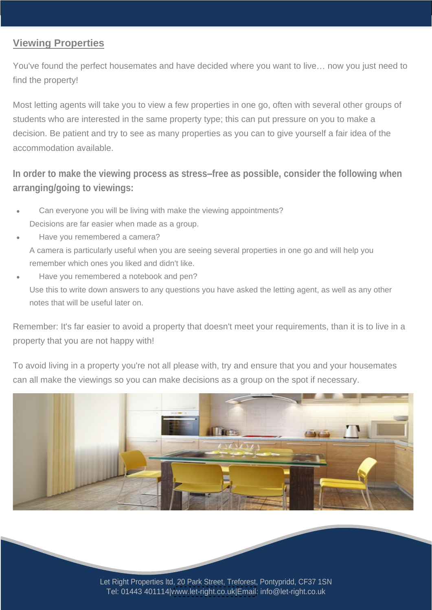## **Viewing Properties**

You've found the perfect housemates and have decided where you want to live... now you just need to find the property!

Most letting agents will take you to view a few properties in one go, often with several other groups of students who are interested in the same property type; this can put pressure on you to make a decision. Be patient and try to see as many properties as you can to give yourself a fair idea of the accommodation available.

# **In order to make the viewing process as stress free as possible, consider the following when arranging/going to viewings:**

- Can everyone you will be living with make the viewing appointments? Decisions are far easier when made as a group.
- Have you remembered a camera?
- A camera is particularly useful when you are seeing several properties in one go and will help you remember which ones you liked and didn't like.
- Have you remembered a notebook and pen? Use this to write down answers to any questions you have asked the letting agent, as well as any other notes that will be useful later on.

Remember: It's far easier to avoid a property that doesn't meet your requirements, than it is to live in a property that you are not happy with!

To avoid living in a property you're not all please with, try and ensure that you and your housemates can all make the viewings so you can make decisions as a group on the spot if necessary.

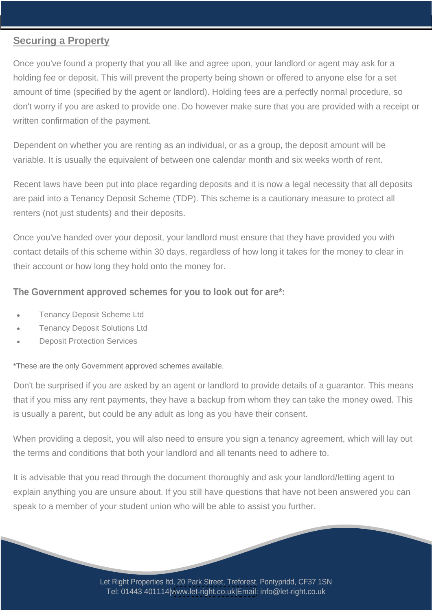## **Securing a Property**

Once you've found a property that you all like and agree upon, your landlord or agent may ask for a holding fee or deposit. This will prevent the property being shown or offered to anyone else for a set amount of time (specified by the agent or landlord). Holding fees are a perfectly normal procedure, so don't worry if you are asked to provide one. Do however make sure that you are provided with a receipt or written confirmation of the payment.

Dependent on whether you are renting as an individual, or as a group, the deposit amount will be variable. It is usually the equivalent of between one calendar month and six weeks worth of rent.

Recent laws have been put into place regarding deposits and it is now a legal necessity that all deposits are paid into a Tenancy Deposit Scheme (TDP). This scheme is a cautionary measure to protect all renters (not just students) and their deposits.

Once you've handed over your deposit, your landlord must ensure that they have provided you with contact details of this scheme within 30 days, regardless of how long it takes for the money to clear in their account or how long they hold onto the money for.

#### **The Government approved schemes for you to look out for are\*:**

- Tenancy Deposit Scheme Ltd
- Tenancy Deposit Solutions Ltd
- Deposit Protection Services

\*These are the only Government approved schemes available.

Don't be surprised if you are asked by an agent or landlord to provide details of a guarantor. This means that if you miss any rent payments, they have a backup from whom they can take the money owed. This is usually a parent, but could be any adult as long as you have their consent.

When providing a deposit, you will also need to ensure you sign a tenancy agreement, which will lay out the terms and conditions that both your landlord and all tenants need to adhere to.

It is advisable that you read through the document thoroughly and ask your landlord/letting agent to explain anything you are unsure about. If you still have questions that have not been answered you can speak to a member of your student union who will be able to assist you further.